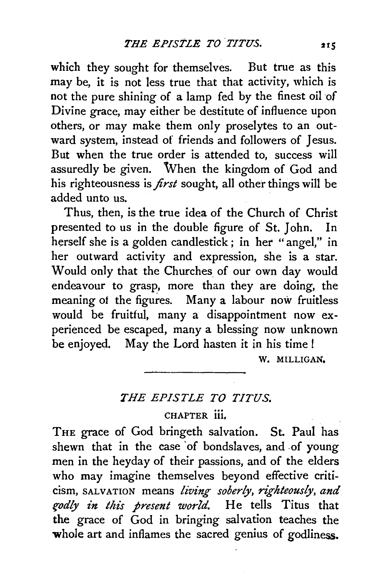which they sought for themselves. But true as this may be, it is not less true that that activity, which is not the pure shining of a lamp fed by the finest oil of Divine grace, may either be destitute of influence upon others, or may make them only proselytes to an outward system, instead of friends and followers of Jesus. But when the true order is attended to, success will assuredly be given. When the kingdom of God and his righteousness is *first* sought, all other things will be added unto us.

Thus, then, is the true idea of the Church of Christ presented to us in the double figure of St. John. In herself she is a golden candlestick ; in her "angel," in her outward activity and expression, she is a star. Would only that the Churches of our own day would endeavour to grasp, more than they are doing, the meaning of the figures. Many a labour now fruitless would be fruitful, many a disappointment now experienced be escaped, many a blessing now unknown be enjoyed. May the Lord hasten it in his time I

W. MILLIGAN.

## *THE EPISTLE TO TITUS.*

## CHAPTER iii,

THE grace of God bringeth salvation. St. Paul has shewn that in the case of bondslaves, and of young men in the heyday of their passions, and of the elders who may imagine themselves beyond effective criticism, SALVATION means *living soberly, righteously, and f"Odly in this present world.* He tells Titus that the grace of God in bringing salvation teaches the whole art and inflames the sacred genius of godliness.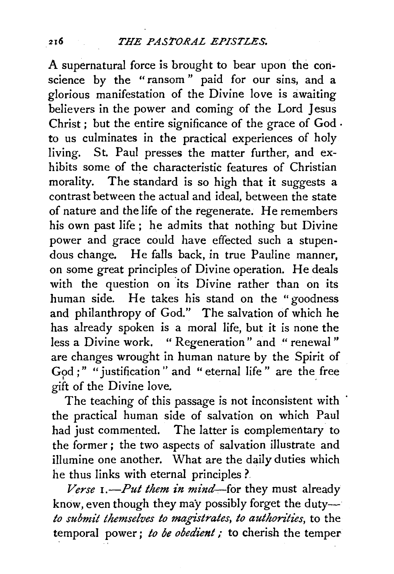A supernatural force is brought to bear upon the conscience by the "ransom " paid for our sins, and a glorious manifestation of the Divine love is awaiting believers in the power and coming of the Lord Jesus Christ ; but the entire significance of the grace of God · *to* us culminates in the practical experiences of holy living. St. Paul presses the matter further, and exhibits some of the characteristic features of Christian morality. The standard is so high that it suggests a contrast between the actual and ideal, between the state of nature and the life of the regenerate. He remembers his own past life; he admits that nothing but Divine power and grace could have effected such a stupendous change. He falls back, in true Pauline manner, on some great principles of Divine operation. He deals with the question on its Divine rather than on its human side. He takes his stand on the "goodness and philanthropy of God." The salvation of which he has already spoken is a moral life, but it is none the less a Divine work. " Regeneration" and " renewal" are changes wrought in human nature by the Spirit of God ;" " justification" and " eternal life" are the free gift of the Divine love.

The teaching of this passage is not inconsistent with the practical human side of salvation on which Paul had just commented. The latter is complementary to the former ; the two aspects of salvation illustrate and illumine one another. What are the daily duties which he thus links with eternal principles ?.

*Verse I.-Put them in mind-for* they must already know, even though they may possibly forget the duty*to submit themselves to magistrates, to authorities, to the* temporal power; to be obedient; to cherish the temper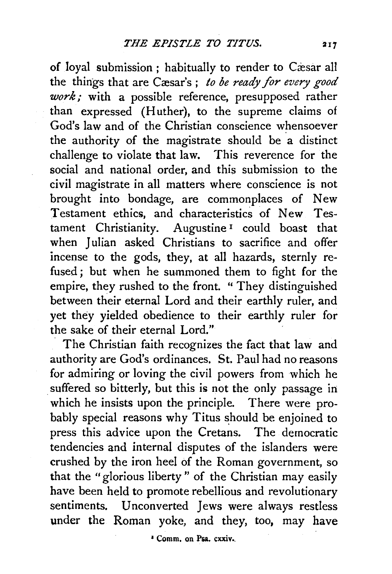of loyal submission ; habitually to render to Cæsar all the things that are Cæsar's; *to be ready for every good work*; with a possible reference, presupposed rather than expressed (Huther), to the supreme claims of God's law and of the Christian conscience whensoever the authority of the magistrate should be a distinct challenge to violate that law. This reverence for the social and national order, and this submission to the civil magistrate in all matters where conscience is not brought into bondage, are commonplaces of New Testament ethics, and characteristics of New Testament Christianity. Augustine<sup>1</sup> could boast that when Julian asked Christians to sacrifice and offer incense to the gods, they, at all hazards, sternly refused; but when he summoned them to fight for the empire, they rushed to the front. " They distinguished between their eternal Lord and their earthly ruler, and yet they yielded obedience to their earthly ruler for the sake of their eternal Lord."

The Christian faith recognizes the fact that law and authority are God's ordinances. St. Paul had no reasons for admiring or loving the civil powers from which he suffered so bitterly, but this is not the only passage in which he insists upon the principle. There were probably special reasons why Titus should be enjoined to press this advice upon the Cretans. The democratic tendencies and internal disputes of the islanders were crushed by the iron heel of the Roman government, so that the "glorious liberty" of the Christian may easily have been held to promote rebellious and revolutionary sentiments. Unconverted Jews were always restless under the Roman yoke, and they, too, may have

• Comm. on P&a. cxxiv •.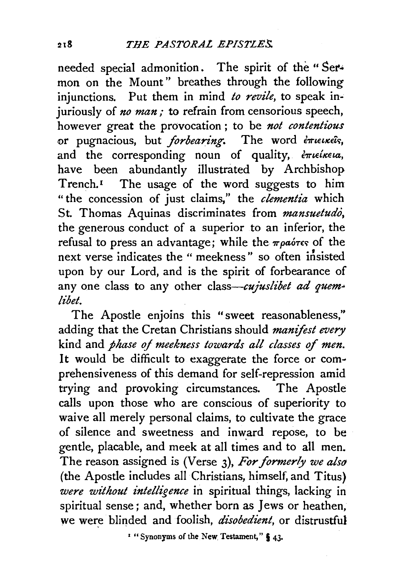needed special admonition. The spirit of the "Sermon on the Mount" breathes through the following injunctions. Put them in mind *to revile*, to speak injuriously of *no man*; to refrain from censorious speech, however great the provocation ; to be *not contentious*  or pugnacious, but *forbearing*. The word *extending*, and the corresponding noun of quality,  $\epsilon \pi i \epsilon \omega$ , have been abundantly illustrated by Archbishop Trench.<sup> $I$ </sup> The usage of the word suggests to him "the concession of just claims," the *dementia* which St. Thomas Aquinas discriminates from *mansuetudo,*  the generous conduct of a superior to an inferior, the refusal to press an advantage; while the  $\pi \rho a$  ores of the next verse indicates the " meekness" so often insisted upon by our Lord, and is the spirit of forbearance of any one class to any other class-cujuslibet ad quem*lib et.* 

The Apostle enjoins this "sweet reasonableness," adding that the Cretan Christians should *manifest every*  kind and *phase of meekness towards all classes* of *men.*  It would be difficult to exaggerate the force or comprehensiveness of this demand for self-repression amid trying and provoking circumstances. The Apostle calls upon those who are conscious of superiority to waive all merely personal claims, to cultivate the grace of silence and sweetness and inward repose, to be gentle, placable, and meek at all times and to all men. The reason assigned is (Verse 3), *For formerly we also*  (the Apostle includes all Christians, himself, and Titus) *were without intelligence* in spiritual things, lacking in spiritual sense ; and, whether born as Jews or heathen, we were blinded and foolish, *disobedient*, or distrustful

<sup>1</sup> "Synonyms of the New Testament,"  $\frac{6}{9}$  43.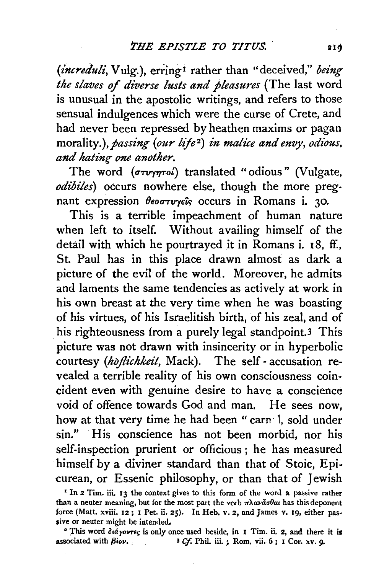*(increduli, Vulg.), erring<sup>1</sup> rather than "deceived," being the slaves of diverse lusts and pleasures* (The last word is unusual in the apostolic writings, and refers to those sensual indulgences which were the curse of Crete, and had never been repressed by heathen maxims or pagan *morality.), passing (our life<sup>2</sup>) in malice and envy, odious,* and hating one another.

The word  $(\sigma \tau \nu \gamma \eta \tau o l)$  translated "odious" (Vulgate, *odibiles)* occurs nowhere else, though the more preg· nant expression  $\theta$ eo $\sigma\tau\nu\gamma\epsilon\hat{\imath}s$  occurs in Romans i. 30.

This is a terrible impeachment of human nature when left to itself. Without availing himself of the detail with which he pourtrayed it in Romans i. 18, ff., St. Paul has in this place drawn almost as dark a picture of the evil of the world. Moreover, he admits and laments the same tendencies as actively at work in his own breast at the very time when he was boasting of his virtues, of his Israelitish birth, of his zeal, and of his righteousness from a purely legal standpoint.<sup>3</sup> This picture was not drawn with insincerity or in hyperbolic courtesy *(hbflichkeit,* Mack). The self- accusation revealed a terrible reality of his own consciousness coincident even with genuine desire to have a conscience void of offence towards God and man. He sees now, how at that very time he had been " carn 1, sold under sin.'' His conscience has not been morbid, nor his self-inspection prurient or officious ; he has measured himself by a diviner standard than that of Stoic, Epicurean, or Essenic philosophy, or than that of Jewish

<sup>&</sup>lt;sup>I</sup> In 2 Tim. iii. 13 the context gives to this form of the word a passive rather than a neuter meaning, but for the most part the verb  $\pi\lambda\alpha\nu\tilde{\alpha}\sigma\theta\alpha\mu$  has this deponent force (Matt. xviii. I2; I Pet. ii. 25). In Heb. v. 2, and James v. I9, either pas· sive or neuter might be intended.

<sup>&</sup>lt;sup>2</sup> This word  $\delta \alpha \gamma \sigma \nu \tau \epsilon$  is only once used beside, in I Tim. ii. 2, and there it is associated with  $\beta \omega \nu$ .<br>3 Cf. Phil. iii. ; Rom. vii. 6 ; I Cor. xv. 9. <sup>3</sup> Cf. Phil. iii. ; Rom. vii. 6 ; I Cor. xv. 9.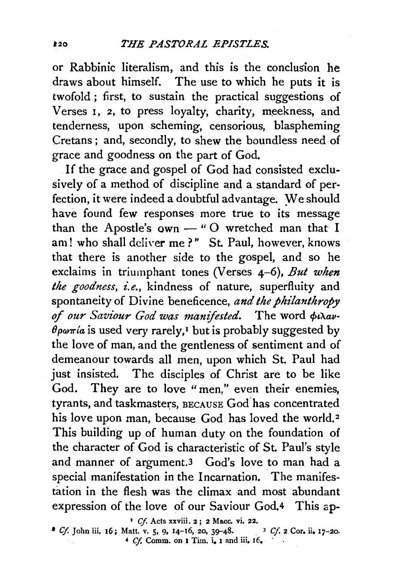or Rabbinic literalism, and this is the conclusion he draws about himself. The use to which he puts it is twofold ; first, to sustain the practical suggestions of Verses 1, 2, to press loyalty, charity, meekness, and tenderness, upon scheming, censorious, blaspheming Cretans ; and, secondly, to shew the boundless need of grace and goodness on the part of God.

If the grace and gospel of God had consisted exclusively of a method of discipline and a standard of perfection, it were indeed a doubtful advantage. We should have found few responses more true to its message than the Apostle's  $own -$  "O wretched man that I am! who shall deliver me?" St. Paul, however, knows that there is another side to the gospel, and so he exclaims in triumphant tones (Verses 4-6), *But when*  the goodness, i.e., kindness of nature, superfluity and spontaneity of Divine beneficence, *and the philanthropy*  of our Saviour God was manifested. The word  $\phi$ idav- $\theta \rho \omega \pi / a$  is used very rarely,<sup>1</sup> but is probably suggested by the love of man, and the gentleness of sentiment and of demeanour towards all men, upon which St. Paul had just insisted. The disciples of Christ are to be like God. They are to love "men," even their enemies, tyrants, and taskmasters, BECAUSE God has concentrated his love upon man, because God has loved the world.<sup>2</sup> This building up of human duty on the foundation of the character of God is characteristic of St. Paul's style and manner of argument.3 God's love to man had a special manifestation in the Incarnation. The manifestation in the flesh was the climax and most abundant expression of the love of our Saviour God,4 This ap-

' *Cf.* Acts xxviii. 2 ; 2 Mace. vi. 22.

<sup>•</sup> *Cf.* John iii. 16; Matt. v. 5, 9, 14-16, 20, 39-48. 3 *Cf* 2 Cor, ii, 17-20.  $\bullet$  *Cf.* John iii. 16; Matt. v. 5, 9, 14-16, 20, 39-48.<br> $\bullet$  *Cf.* Comm. on 1 Tim. i. 1 and iii, 16.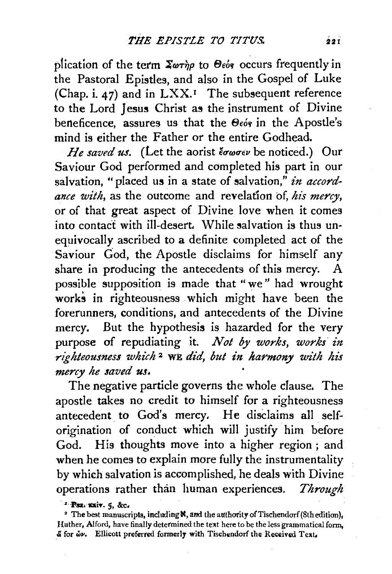plication of the term  $\sum_{\alpha} \phi_{\alpha}$  to  $\Theta_{\epsilon}$  occurs frequently in the Pastoral Epistles, and also in the Gospel of Luke (Chap. i. 47) and in LXX.• The subsequent reference to the Lord Jesus Christ as the instrument of Divine beneficence, assures us that the  $\Theta$ <sub>co's</sub> in the Apostle's mind is either the Father or the entire Godhead.

*He saved us.* (Let the aorist  $\epsilon \sigma \omega \sigma \epsilon \nu$  be noticed.) Our Saviour God performed and completed his part in our salvation, "placed us in a state of salvation," in accord*ance with,* as the outcome and revelation of, *his mercy,*  or of that great aspect of Divine love when it comes into contact with ill-desert. While salvation is thus unequivocally ascribed to a definite completed act of the Saviour Cod, the Apostle disclaims for himself any share in producing the antecedents of this mercy. A possible supposition is made that "we" had wrought works in righteousness which might have been the forerunners, conditions, and antecedents of the Divine mercy. But the hypothesis is hazarded for the very purpose of repudiating it. *Not by works, works' in*  righteousness which<sup>2</sup> WE did, but in harmony with his *mercy he saved us.* 

The negative particle governs the whole clause. The apostle takes no credit to himself for a righteousness antecedent to God's mercy. He disclaims all selforigination of conduct which will justify him before God. His thoughts move into a higher region; and when he comes to explain more fully the instrumentality by which salvation is accomplished, he deals with Divine operations rather than human experiences. *Through* 

<sup>&</sup>lt;sup>1</sup> Psa. xxiv. 5, &c.

<sup>&</sup>lt;sup>2</sup> The best manuscripts, including **N**, and the authority of Tischendorf (8th edition), Huther, Alford, have finally determined the text here to be the less grammatical form, .& for *iiw.* E!licott preferred formerly with Tisch~:ndorf the: ReG:eived Text,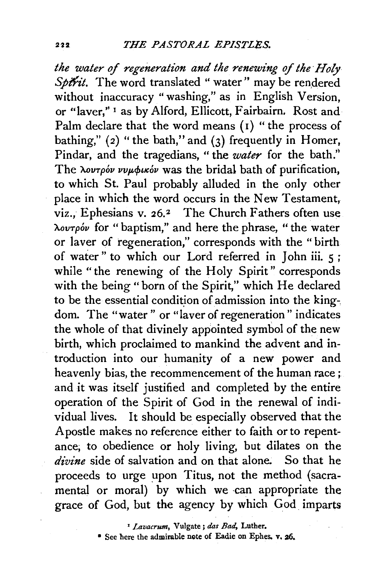*the water of regeneration and the renewing of the Holy* Sptrit. The word translated " water" may be rendered without inaccuracy " washing," as in English Version, or "laver," 1 as by Alford, Ellicott, Fairbairn. Rost and Palm declare that the word means  $(1)$  " the process of bathing,"  $(2)$  "the bath," and  $(3)$  frequently in Homer, Pindar, and the tragedians, " the *water* for the bath." The  $\lambda$ ov<sub>T</sub> $\rho$ <sup>*ov vvµ* $\phi$ *u* $\delta$ *v* was the bridal bath of purification,</sup> to which St. Paul probably alluded in the only other place in which the word occurs in the New Testament, viz., Ephesians v. 26.<sup>2</sup> The Church Fathers often use ).ovTpov for " baptism," and here the phrase, " the water or !aver of regeneration," corresponds with the "birth of water" to which our Lord referred in John iii. 5 ; while "the renewing of the Holy Spirit" corresponds with the being "born of the Spirit," which He declared to be the essential condition of admission into the king-. dom. The "water" or "laver of regeneration" indicates the whole of that divinely appointed symbol of the new birth, which proclaimed to mankind the advent and introduction into our humanity of a new power and heavenly bias, the recommencement of the human race; and it was itself justified and completed by the entire operation of the Spirit of God in the renewal of individual lives. It should be especially observed that the Apostle makes no reference either to faith or to repentance; to obedience or holy living, but dilates on the *divine* side of salvation and on that alone. So that he proceeds to urge upon Titus, not the method (sacramental or moral) by which we can appropriate the grace of God, but the agency by which God imparts

' *Lavacrum,* Vulgate; *das Bad,* Luther.

• See here the admirable note of Eadie on Ephes. v, 26.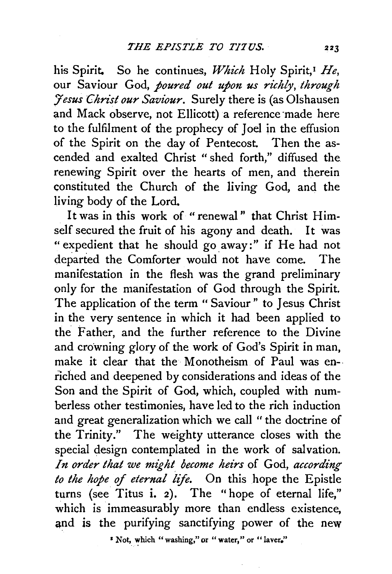his Spirit. So he continues, Which Holy Spirit,<sup>1</sup> He, our Saviour God, *poured out upon us richly, through :Jesus Christ our Saviour.* Surely there is (as Olshausen and Mack observe, not Ellicott) a reference made here to the fulfilment of the prophecy of Joel in the effusion of the Spirit on the day of Pentecost. Then the ascended and exalted Christ " shed forth," diffused the renewing Spirit over the hearts of men, and therein constituted the Church of the living God, and the living body of the Lord.

It was in this work of "renewal" that Christ Himself secured the fruit of his agony and death. It was " expedient that he should go away:" if He had not departed the Comforter would. not have come. The manifestation in the flesh was the grand preliminary only for the manifestation of God through the Spirit. The application of the term " Saviour" to Jesus Christ in the very sentence in which it had been applied to the Father, and the further reference to the Divine and crowning glory of the work of God's Spirit in man, make it clear that the Monotheism of Paul was enriched and deepened by considerations and ideas of the Son and the Spirit of God, which, coupled with numberless other testimonies, have led to the rich induction and great generalization which we call " the doctrine of the Trinity." The weighty utterance closes with the special design contemplated in the work of salvation. *In order that we might become heirs* of God, *according to the hope* of *eternal life.* On this hope the Epistle turns (see Titus i. 2). The "hope of eternal life," which is immeasurably more than endless existence, and is the purifying sanctifying power of the new

<sup>\*</sup> Not, which "washing," or "water," or "laver,"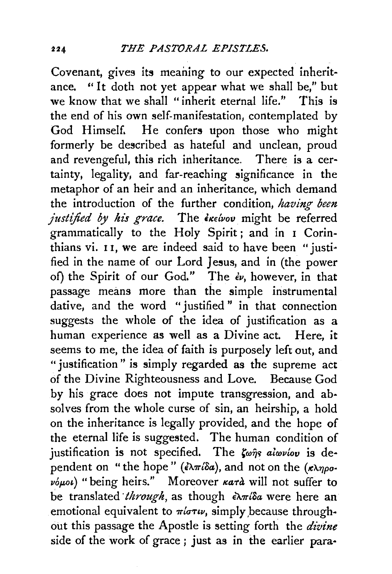Covenant, gives its meaning to our expected inheritance. "It doth not yet appear what we shall be," but we know that we shall "inherit eternal life." This is the end of his own self-manifestation, contemplated by God Himself. He confers upon those who might formerly be described as hateful and unclean, proud and revengeful, this rich inheritance. There is a certainty, legality, and far-reaching significance in the metaphor of an heir and an inheritance, which demand the introduction of the further condition, *having been justified by his grace.* The *invition* might be referred grammatically to the Holy Spirit; and in 1 Corinthians vi. 11, we are indeed said to have been "justified in the name of our Lord Jesus, and in (the power of) the Spirit of our God." The  $\epsilon v$ , however, in that passage means more than the simple instrumental dative, and the word "justified" in that connection suggests the whole of the idea of justification as a human experience as well as a Divine act. Here, it seems to me, the idea of faith is purposely left out, and "justification" is simply regarded as the supreme act of the Divine Righteousness and Love. Because God by his grace does not impute transgression, and absolves from the whole curse of sin, an heirship, a hold on the inheritance is legally provided, and the hope of the eternal life is suggested. The human condition of justification is not specified. The *K*wns alwvlov is dependent on "the hope" ( $\epsilon \lambda \pi i \delta a$ ), and not on the  $(\kappa \lambda \eta \rho \sigma$ - $\bar{\psi}_{\mu\nu}$  "being heirs." Moreover *kard* will not suffer to be translated *through*, as though ελπίδα were here an emotional equivalent to  $\pi i \sigma \tau \nu$ , simply because throughout this passage the Apostle is setting forth the *divine*  side of the work of grace ; just as in the earlier para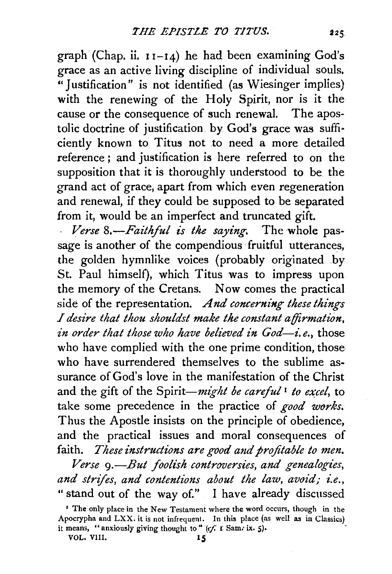graph (Chap. ii.  $11-14$ ) he had been examining God's grace as an active living discipline of individual souls. "Justification" is not identified (as Wiesinger implies) with the renewing of the Holy Spirit, nor is it the cause or the consequence of such renewal. The apostolic doctrine of justification by God's grace was sufficiently known to Titus not to need a more detailed reference ; and justification is here referred to on the supposition that it is thoroughly understood to be. the grand act of grace, apart from which even regeneration and renewal, if they could be supposed to be separated from it, would be an imperfect and truncated gift.

Verse 8.-Faithful is the saying. The whole passage is another of the compendious fruitful utterances, the golden hymnlike voices (probably originated by St. Paul himself), which Titus was to impress upon the memory of the Cretans. Now comes the practical side of the representation. *And concerning these things I desire that thou shouldst make the constant affirmation, in order that those who have believed in God-i.e.*, those who have complied with the one prime condition, those who have surrendered themselves to the sublime assurance of God's love in the manifestation of the Christ and the gift of the *Spirit-might be careful*<sup>1</sup> *to excel*, to take some precedence in the practice of *good works.*  Thus the Apostle insists on the principle of obedience, and the practical issues and moral consequences of faith. *These instructions are good and profitable to men.* 

*Verse* 9.—But foolish controversies, and genealogies, *and strifes, and contentions about the law, avoid; i.e.,*  "stand out of the way of." I have already discussed

<sup>&#</sup>x27; The only place in the New Testament where the word occurs, though in the Apocrypha and LXX. it is not infrequent. In this place (as well as in Classics) it means, "anxiously giving thought to" (cf. *i* Sam. ix. 5).

VOL. Vlll. I *5*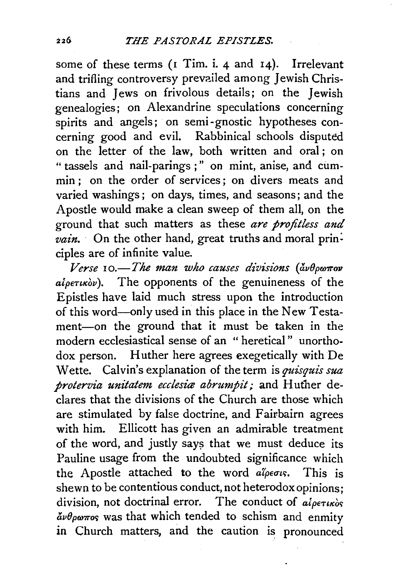some of these terms (1 Tim. i. 4 and 14). Irrelevant and trifling controversy prevailed among Jewish Christians and Jews on frivolous details; on the Jewish genealogies; on Alexandrine speculations concerning spirits and angels; on semi-gnostic hypotheses concerning good and evil. Rabbinical schools disputed on the letter of the law, both written and oral; on "tassels and nail-parings;" on mint, anise, and cummin : on the order of services; on divers meats and varied washings ; on days, times, and seasons; and the Apostle would make a clean sweep of them all, on the ground that such matters as these *are profitless and*  vain. On the other hand, great truths and moral principles are of infinite value.

Verse 10.-The man who causes divisions (άνθρωπον *alpeTucov* ). The opponents of the genuineness of the Epistles have laid much stress upon the introduction of this word-only used in this place in the New Testament-on the ground that it must be taken in the modern ecclesiastical sense of an " heretical " unorthodox person. Huther here agrees exegetically with De Wette. Calvin's explanation of the term is *quisquis sua protervia unitatem ecclesia abrumpit*; and Huther declares that the divisions of the Church are those which are stimulated by false doctrine, and Fairbairn agrees with him. Ellicott has given an admirable treatment of the word, and justly says that we must deduce its Pauline usage from the undoubted significance which the Apostle attached to the word *alpeous*. This is shewn to be contentious conduct, not heterodox opinions; division, not doctrinal error. The conduct of *alpertic*or  $\frac{\partial u}{\partial p\omega\pi\sigma}$  was that which tended to schism and enmity in Church matters, and the caution is pronounced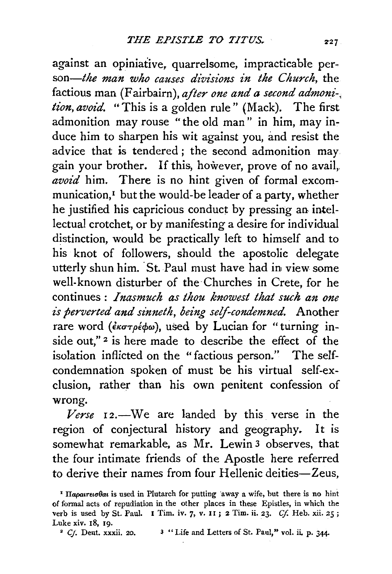against an opiniative, quarrelsome, impracticable per*son-the man who causes divisions in the Church,* the factious man (Fairbairn), *after one and a second admoni-, tion, avoid.* "This is a golden rule" (Mack). The first admonition may rouse "the old man" in him, may induce him to sharpen his wit against you, and resist the advice that is tendered ; the second admonition may gain your brother. If this, however, prove of no avail,. *avoid* him. There is no hint given of formal excommunication,1 but the would-be leader of a party, whether he justified his capricious conduct by pressing an intellectual crotchet, or by manifesting a desire for individual distinction, would be practically left to himself and to his knot of followers, should the apostolic delegate utterly shun him. St. Paul must have had in view some well-known disturber of the Churches in Crete, for he continues: *Inasmuch as thou knowest that such an one is perverted and sinneth, being self-condemned.* Another rare word (*εκστρέφω*), used by Lucian for "turning inside out,"<sup>2</sup> is here made to describe the effect of the isolation inflicted on the " factious person." The selfcondemnation spoken of must be his virtual self-exclusion, rather than his own penitent confession of wrong.

Verse 12.—We are landed by this verse in the region of conjectural history and geography. It is somewhat remarkable, as Mr. Lewin 3 observes, that the four intimate friends of the Apostle here referred to derive their names from four Hellenic deities-Zeus,

<sup>&</sup>lt;sup>1</sup> Hapatreto bat is used in Plutarch for putting away a wife, but there is no hint of formal acts of repudiation in the other places in these Epistles, in which the verb is used by St. Paul. I Tim. iv. 7, v. II; 2 Tim. ii. 23. Cf. Heb. xii. 25; Luke xiv.  $18$ , 19.<br><sup>2</sup> Cf. Deut. xxxii. 20.

<sup>&</sup>lt;sup>3</sup> "Life and Letters of St. Paul," vol. ii. p. 344.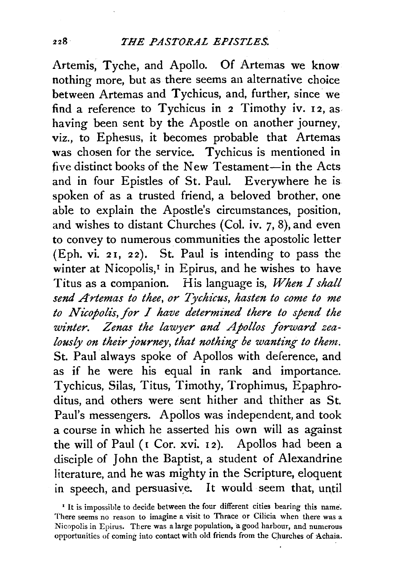Artemis, Tyche, and Apollo. Of Artemas we know nothing more, but as there seems an alternative choice between Artemas and Tychicus, and, further, since we find a reference to Tychicus in 2 Timothy iv. 12, as having been sent by the Apostle on another journey, viz., to Ephesus, it becomes probable that Artemas was chosen for the service. Tychicus is mentioned in five distinct books of the New Testament-in the Acts and in four Epistles of St. Paul. Everywhere he is spoken of as a trusted friend, a beloved brother, one able to explain the Apostle's circumstances, position, and wishes to distant Churches (Col. iv. 7, 8), and even to convey to numerous communities the apostolic letter (Eph. vi. 21, 22). St. Paul is intending to pass the winter at Nicopolis,<sup>1</sup> in Epirus, and he wishes to have Titus as a companion. His language is, *When I shall send Artemas to thee, or Tychicus, hasten to come to me to N uopol£s, for I have determined there to spend the winter. Zenas the lawyer and Apollos forward zealously on their journey, that nothing be wanting to them.* St. Paul always spoke of Apollos with deference, and as if he were his equal in rank and importance. Tychicus, Silas, Titus, Timothy, Trophimus, Epaphroditus, and others were sent hither and thither as St. Paul's messengers. Apollos was independent, and took a course in which he asserted his own will as against the will of Paul ( $I$  Cor. xvi. 12). Apollos had been a disciple of John the Baptist, a student of Alexandrine literature, and he was mighty in the Scripture, eloquent in speech, and persuasive. It would seem that, until

<sup>&</sup>lt;sup>1</sup> It is impossible to decide between the four different cities bearing this name. There seems no reason to imagine a visit to Thrace or Cilicia when there was a Nicopolis in Epirus. There was a large population, a good harbour, and numerous opportunities of coming into contact with old friends from the Churches of Achaia.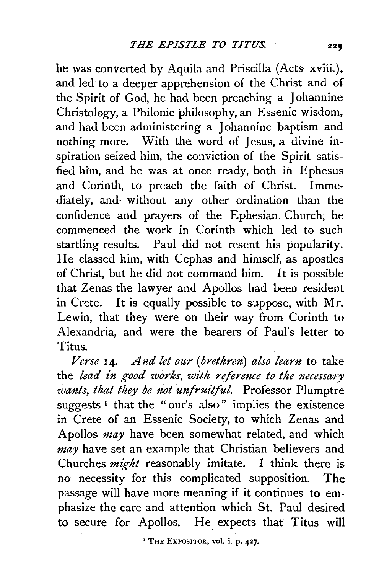he was converted by Aquila and Priscilla (Acts xviii.), and led to a deeper apprehension of the Christ and of the Spirit of God, he had been preaching a Johannine Christology, a Philonic philosophy, an Essenic wisdom, and had been administering a Johannine baptism and nothing more. With the word of Jesus, a divine inspiration seized him, the conviction of the Spirit satisfied him, and he was at once ready, both in Ephesus and Corinth, to preach the faith of Christ. Immediately, and- without any other ordination than the confidence and prayers of the Ephesian Church, he commenced the work in Corinth which led to such startling results. Paul did not resent his popularity. He classed him, with Cephas and himself, as apostles of Christ, but he did not command him. It is possible that Zenas the lawyer and Apollos had been resident in Crete. It is equally possible to suppose, with Mr. Lewin, that they were on their way from Corinth to Alexandria, and were the bearers of Paul's letter to Titus.

*Verse 14.-And let our (brethren) also learn* to take the *lead in good works, with reference to the necessary wants, that they be not unfruitful.* Professor Plumptre suggests<sup> $I$ </sup> that the "our's also" implies the existence in Crete of an Essenic Society, to which Zenas and Apollos *may* have been somewhat related, and which *may* have set an example that Christian believers and Churches *might* reasonably imitate. I think there is no necessity for this complicated supposition. The passage will have more meaning if it continues to emphasize the care and attention which St. Paul desired to secure for Apollos. He expects that Titus will

' THE EXPOSITOR, vol. i. p. 427.